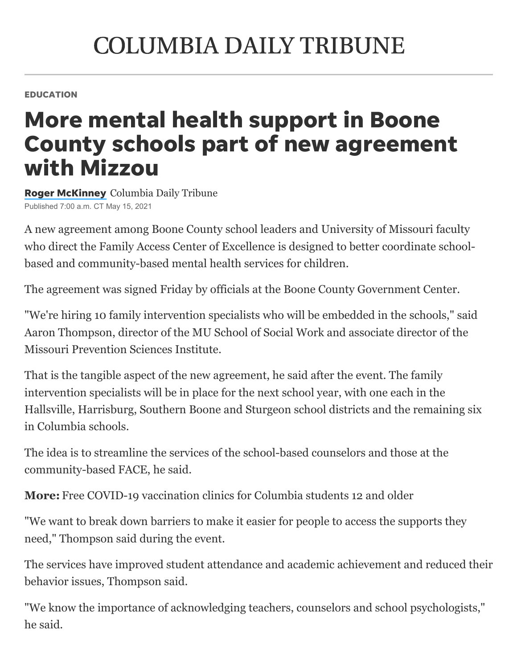## **COLUMBIA DAILY TRIBUNE**

EDUCATION

## More mental health support in Boone County schools part of new agreement with Mizzou

**Roger [McKinney](https://www.columbiatribune.com/staff/3506680001/roger-mckinney/)** Columbia Daily Tribune Published 7:00 a.m. CT May 15, 2021

A new agreement among Boone County school leaders and University of Missouri faculty who direct the [Family Access Center of Excellence](https://www.columbiatribune.com/news/20191211/face-connects-families-with-services) is designed to better coordinate schoolbased and community-based mental health services for children.

The agreement was signed Friday by officials at the Boone County Government Center.

"We're hiring 10 family intervention specialists who will be embedded in the schools," said Aaron Thompson, director of the MU School of Social Work and associate director of the Missouri Prevention Sciences Institute.

That is the tangible aspect of the new agreement, he said after the event. The family intervention specialists will be in place for the next school year, with one each in the Hallsville, Harrisburg, Southern Boone and Sturgeon school districts and the remaining six in Columbia schools.

The idea is to streamline the services of the school-based counselors and those at the [community-based FACE](https://www.columbiatribune.com/609772fa-9a3a-59e6-96ba-b3a1e42b33e5.html), he said.

**More:** [Free COVID-19 vaccination clinics for Columbia students 12 and older](https://www.columbiatribune.com/story/news/education/2021/05/14/free-covid-19-vaccination-clinics-columbia-students-12-and-older/5097428001/)

"We want to break down barriers to make it easier for people to access the supports they need," Thompson said during the event.

The services have improved student attendance and academic achievement and reduced their behavior issues, Thompson said.

"We know the importance of acknowledging teachers, counselors and school psychologists," he said.